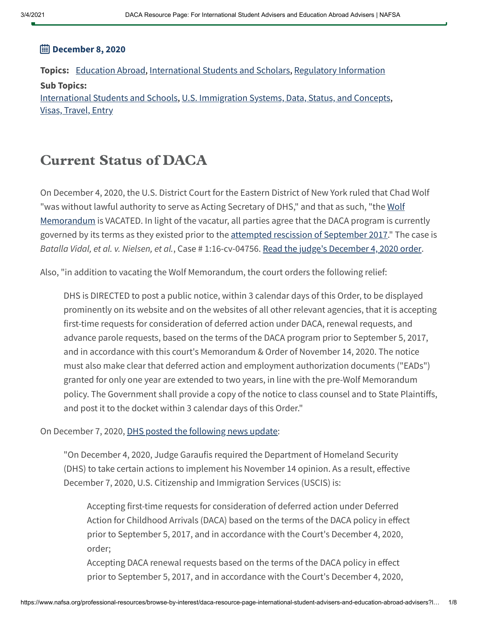### **December 8, 2020**

**Topics:** [Education](https://www.nafsa.org/topic-groups/education-abroad) Abroad, [International](https://www.nafsa.org/topic-groups/international-students-and-scholars) Students and Scholars, [Regulatory Information](https://www.nafsa.org/topic-groups/regulatory-information) **Sub Topics:** [International](https://www.nafsa.org/topics/international-students-and-schools) Students and Schools, U.S. [Immigration](https://www.nafsa.org/topics/us-immigration-systems-data-status-and-concepts) Systems, Data, Status, and Concepts, Visas, [Travel,](https://www.nafsa.org/topics/visas-travel-entry) Entry

### Current Status of DACA

On December 4, 2020, the U.S. District Court for the Eastern District of New York ruled that Chad Wolf "was without lawful authority to serve as Acting Secretary of DHS," and that as such, "the Wolf [Memorandum](https://www.dhs.gov/sites/default/files/publications/20_0728_s1_daca-reconsideration-memo.pdf) is VACATED. In light of the vacatur, all parties agree that the DACA program is currently governed by its terms as they existed prior to the attempted rescission of [September](https://www.nafsa.org/sites/default/files/ektron/files/underscore/amresource/dacarescindmemo.pdf) 2017." The case is Batalla Vidal, et al. v. Nielsen, et al., Case # 1:16-cv-04756. Read the judge's [December](https://www.pacermonitor.com/view/YJ4RBCQ/Batalla_Vidal_et_al_v_Nielsen_et_al__nyedce-16-04756__0354.0.pdf) 4, 2020 order.

Also, "in addition to vacating the Wolf Memorandum, the court orders the following relief:

DHS is DIRECTED to post a public notice, within 3 calendar days of this Order, to be displayed prominently on its website and on the websites of all other relevant agencies, that it is accepting first-time requests for consideration of deferred action under DACA, renewal requests, and advance parole requests, based on the terms of the DACA program prior to September 5, 2017, and in accordance with this court's Memorandum & Order of November 14, 2020. The notice must also make clear that deferred action and employment authorization documents ("EADs") granted for only one year are extended to two years, in line with the pre-Wolf Memorandum policy. The Government shall provide a copy of the notice to class counsel and to State Plaintiffs, and post it to the docket within 3 calendar days of this Order."

### On December 7, 2020, DHS posted the [following](https://www.dhs.gov/news/2020/12/07/update-deferred-action-childhood-arrivals) news update:

"On December 4, 2020, Judge Garaufis required the Department of Homeland Security (DHS) to take certain actions to implement his November 14 opinion. As a result, effective December 7, 2020, U.S. Citizenship and Immigration Services (USCIS) is:

Accepting first-time requests for consideration of deferred action under Deferred Action for Childhood Arrivals (DACA) based on the terms of the DACA policy in effect prior to September 5, 2017, and in accordance with the Court's December 4, 2020, order;

Accepting DACA renewal requests based on the terms of the DACA policy in effect prior to September 5, 2017, and in accordance with the Court's December 4, 2020,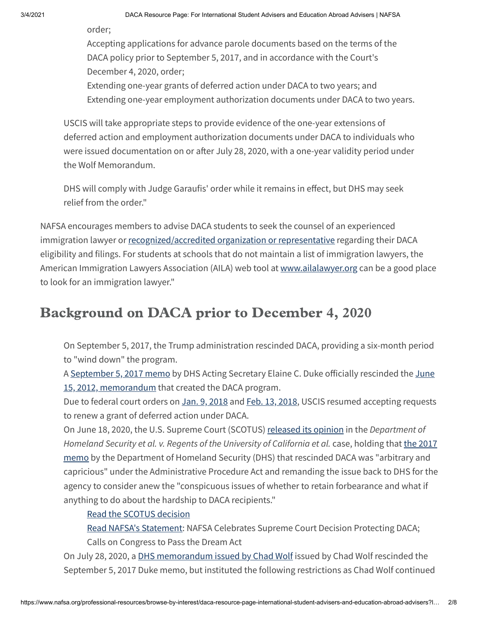order;

Accepting applications for advance parole documents based on the terms of the DACA policy prior to September 5, 2017, and in accordance with the Court's December 4, 2020, order;

Extending one-year grants of deferred action under DACA to two years; and Extending one-year employment authorization documents under DACA to two years.

USCIS will take appropriate steps to provide evidence of the one-year extensions of deferred action and employment authorization documents under DACA to individuals who were issued documentation on or after July 28, 2020, with a one-year validity period under the Wolf Memorandum.

DHS will comply with Judge Garaufis' order while it remains in effect, but DHS may seek relief from the order."

NAFSA encourages members to advise DACA students to seek the counsel of an experienced immigration lawyer or [recognized/accredited](http://www.justice.gov/eoir/ra/raroster.htm) organization or representative regarding their DACA eligibility and filings. For students at schools that do not maintain a list of immigration lawyers, the American Immigration Lawyers Association (AILA) web tool at [www.ailalawyer.org](http://www.ailalawyer.org/) can be a good place to look for an immigration lawyer."

## Background on DACA prior to December 4, 2020

On September 5, 2017, the Trump administration rescinded DACA, providing a six-month period to "wind down" the program.

A [September](https://www.nafsa.org/sites/default/files/ektron/files/underscore/amresource/dacarescindmemo.pdf) 5, 2017 memo by DHS Acting [Secretary Elaine](http://www.dhs.gov/xlibrary/assets/s1-exercising-prosecutorial-discretion-individuals-who-came-to-us-as-children.pdf) C. Duke officially rescinded the June 15, 2012, memorandum that created the DACA program.

Due to federal court orders on Jan. 9, [2018](https://www.uscis.gov/sites/default/files/USCIS/Humanitarian/Deferred%20Action%20for%20Childhood%20Arrivals/234_Order_Entering_Preliminary_Injunction.pdf) and Feb. 13, [2018,](https://www.uscis.gov/sites/default/files/USCIS/Humanitarian/Deferred%20Action%20for%20Childhood%20Arrivals/255_EDNY_AMENDED_Order_Entering_Preliminary_Injunction.pdf) USCIS resumed accepting requests to renew a grant of deferred action under DACA.

On June 18, 2020, the U.S. Supreme Court (SCOTUS) [released](https://www.supremecourt.gov/opinions/19pdf/18-587_5ifl.pdf) its opinion in the Department of Homeland Security et al. v. Regents of the University of California et al. case, holding that the 2017 memo by the [Department](https://www.nafsa.org/sites/default/files/ektron/files/underscore/amresource/dacarescindmemo.pdf) of Homeland Security (DHS) that rescinded DACA was "arbitrary and capricious" under the Administrative Procedure Act and remanding the issue back to DHS for the agency to consider anew the "conspicuous issues of whether to retain forbearance and what if anything to do about the hardship to DACA recipients."

### Read the SCOTUS [decision](https://www.supremecourt.gov/opinions/19pdf/18-587_5ifl.pdf)

Read NAFSA's [Statement:](https://www.nafsa.org/about/about-nafsa/nafsa-celebrates-supreme-court-decision-protecting-daca-calls-congress-pass-dream) NAFSA Celebrates Supreme Court Decision Protecting DACA; Calls on Congress to Pass the Dream Act

On July 28, 2020, a DHS [memorandum](https://www.dhs.gov/sites/default/files/publications/20_0728_s1_daca-reconsideration-memo.pdf) issued by Chad Wolf issued by Chad Wolf rescinded the September 5, 2017 Duke memo, but instituted the following restrictions as Chad Wolf continued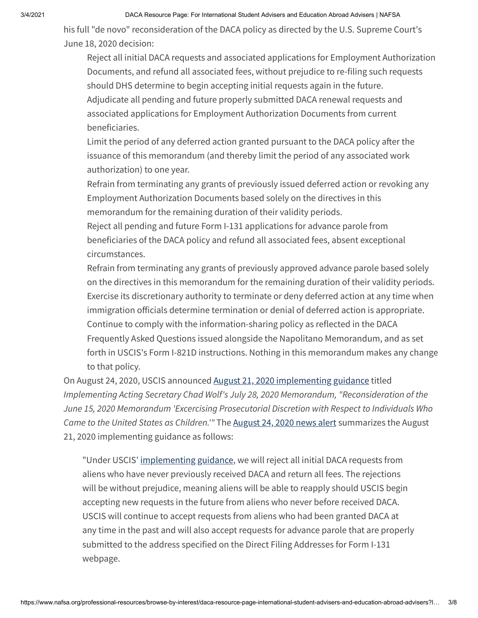his full "de novo" reconsideration of the DACA policy as directed by the U.S. Supreme Court's June 18, 2020 decision:

Reject all initial DACA requests and associated applications for Employment Authorization Documents, and refund all associated fees, without prejudice to re-filing such requests should DHS determine to begin accepting initial requests again in the future. Adjudicate all pending and future properly submitted DACA renewal requests and associated applications for Employment Authorization Documents from current beneficiaries.

Limit the period of any deferred action granted pursuant to the DACA policy after the issuance of this memorandum (and thereby limit the period of any associated work authorization) to one year.

Refrain from terminating any grants of previously issued deferred action or revoking any Employment Authorization Documents based solely on the directives in this memorandum for the remaining duration of their validity periods.

Reject all pending and future Form I-131 applications for advance parole from beneficiaries of the DACA policy and refund all associated fees, absent exceptional circumstances.

Refrain from terminating any grants of previously approved advance parole based solely on the directives in this memorandum for the remaining duration of their validity periods. Exercise its discretionary authority to terminate or deny deferred action at any time when immigration officials determine termination or denial of deferred action is appropriate. Continue to comply with the information-sharing policy as reflected in the DACA Frequently Asked Questions issued alongside the Napolitano Memorandum, and as set forth in USCIS's Form I-821D instructions. Nothing in this memorandum makes any change to that policy.

On August 24, 2020, USCIS announced August 21, 2020 [implementing](https://www.uscis.gov/sites/default/files/document/policy-alerts/DACA%20implementation%20memo%20v2%208.21.20%20final.pdf) guidance titled Implementing Acting Secretary Chad Wolf's July 28, 2020 Memorandum, "Reconsideration of the June 15, 2020 Memorandum 'Excercising Prosecutorial Discretion with Respect to Individuals Who Came to the United States as Children." The [August](https://www.uscis.gov/news/alerts/uscis-implements-dhs-guidance-on-daca) 24, 2020 news alert summarizes the August 21, 2020 implementing guidance as follows:

"Under USCIS' [implementing](https://www.uscis.gov/sites/default/files/document/policy-alerts/DACA%20implementation%20memo%20v2%208.21.20%20final.pdf) guidance, we will reject all initial DACA requests from aliens who have never previously received DACA and return all fees. The rejections will be without prejudice, meaning aliens will be able to reapply should USCIS begin accepting new requests in the future from aliens who never before received DACA. USCIS will continue to accept requests from aliens who had been granted DACA at any time in the past and will also accept requests for advance parole that are properly submitted to the address specified on the Direct Filing Addresses for Form I-131 webpage.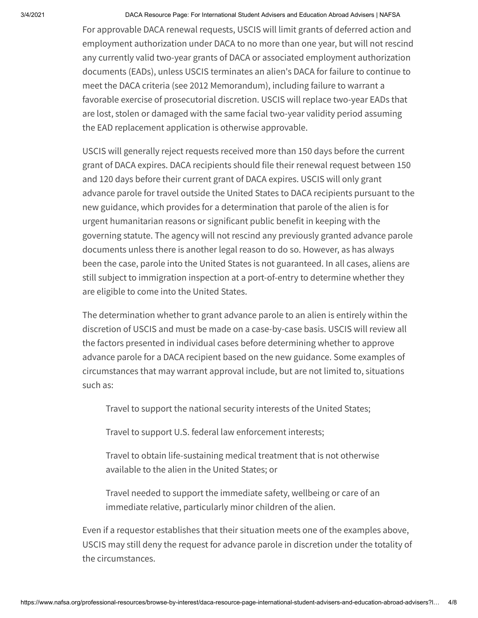For approvable DACA renewal requests, USCIS will limit grants of deferred action and employment authorization under DACA to no more than one year, but will not rescind any currently valid two-year grants of DACA or associated employment authorization documents (EADs), unless USCIS terminates an alien's DACA for failure to continue to meet the DACA criteria (see 2012 Memorandum), including failure to warrant a favorable exercise of prosecutorial discretion. USCIS will replace two-year EADs that are lost, stolen or damaged with the same facial two-year validity period assuming the EAD replacement application is otherwise approvable.

USCIS will generally reject requests received more than 150 days before the current grant of DACA expires. DACA recipients should file their renewal request between 150 and 120 days before their current grant of DACA expires. USCIS will only grant advance parole for travel outside the United States to DACA recipients pursuant to the new guidance, which provides for a determination that parole of the alien is for urgent humanitarian reasons or significant public benefit in keeping with the governing statute. The agency will not rescind any previously granted advance parole documents unless there is another legal reason to do so. However, as has always been the case, parole into the United States is not guaranteed. In all cases, aliens are still subject to immigration inspection at a port-of-entry to determine whether they are eligible to come into the United States.

The determination whether to grant advance parole to an alien is entirely within the discretion of USCIS and must be made on a case-by-case basis. USCIS will review all the factors presented in individual cases before determining whether to approve advance parole for a DACA recipient based on the new guidance. Some examples of circumstances that may warrant approval include, but are not limited to, situations such as:

Travel to support the national security interests of the United States;

Travel to support U.S. federal law enforcement interests;

Travel to obtain life-sustaining medical treatment that is not otherwise available to the alien in the United States; or

Travel needed to support the immediate safety, wellbeing or care of an immediate relative, particularly minor children of the alien.

Even if a requestor establishes that their situation meets one of the examples above, USCIS may still deny the request for advance parole in discretion under the totality of the circumstances.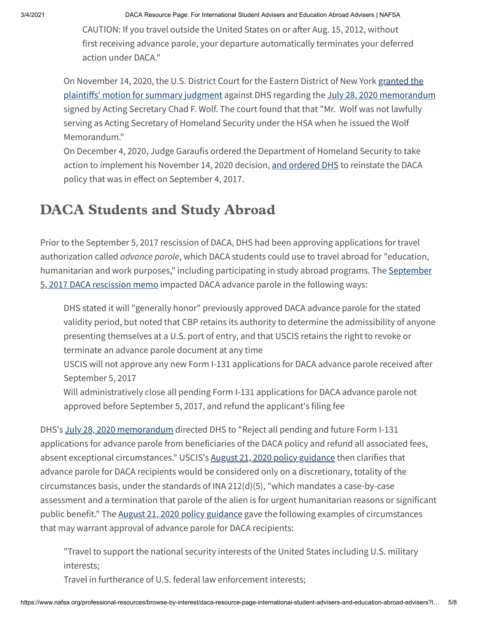CAUTION: If you travel outside the United States on or after Aug. 15, 2012, without first receiving advance parole, your departure automatically terminates your deferred action under DACA."

On November 14, 2020, the U.S. District Court for the Eastern District of New York granted the plaintiffs' motion for [summary judgment](https://www.dhs.gov/publication/batalla-vidal-et-al-v-wolf-et-al-and-state-new-york-et-al-v-trump-et-al) against DHS regarding the July 28, 2020 [memorandum](https://www.dhs.gov/publication/reconsideration-june-15-2012-memo-entitled-exercising-prosecutorial-discretion-respect) signed by Acting Secretary Chad F. Wolf. The court found that that "Mr. Wolf was not lawfully serving as Acting Secretary of Homeland Security under the HSA when he issued the Wolf Memorandum."

On December 4, 2020, Judge Garaufis ordered the Department of Homeland Security to take action to implement his November 14, 2020 decision, and [ordered](https://www.pacermonitor.com/view/YJ4RBCQ/Batalla_Vidal_et_al_v_Nielsen_et_al__nyedce-16-04756__0354.0.pdf) DHS to reinstate the DACA policy that was in effect on September 4, 2017.

# DACA Students and Study Abroad

Prior to the September 5, 2017 rescission of DACA, DHS had been approving applications for travel authorization called *advance parole*, which DACA students could use to travel abroad for "education, [humanitarian](https://www.nafsa.org/sites/default/files/ektron/files/underscore/amresource/dacarescindmemo.pdf) and work purposes," including participating in study abroad programs. The September 5, 2017 DACA rescission memo impacted DACA advance parole in the following ways:

DHS stated it will "generally honor" previously approved DACA advance parole for the stated validity period, but noted that CBP retains its authority to determine the admissibility of anyone presenting themselves at a U.S. port of entry, and that USCIS retains the right to revoke or terminate an advance parole document at any time

USCIS will not approve any new Form I-131 applications for DACA advance parole received after September 5, 2017

Will administratively close all pending Form I-131 applications for DACA advance parole not approved before September 5, 2017, and refund the applicant's filing fee

DHS's July 28, 2020 [memorandum](https://www.dhs.gov/sites/default/files/publications/20_0728_s1_daca-reconsideration-memo.pdf) directed DHS to "Reject all pending and future Form I-131 applications for advance parole from beneficiaries of the DACA policy and refund all associated fees, absent exceptional circumstances." USCIS's August 21, 2020 [policy guidance](https://www.uscis.gov/sites/default/files/document/policy-alerts/DACA%20implementation%20memo%20v2%208.21.20%20final.pdf) then clarifies that advance parole for DACA recipients would be considered only on a discretionary, totality of the circumstances basis, under the standards of INA 212(d)(5), "which mandates a case-by-case assessment and a termination that parole of the alien is for urgent humanitarian reasons or significant public benefit." The August 21, 2020 [policy guidance](https://www.uscis.gov/sites/default/files/document/policy-alerts/DACA%20implementation%20memo%20v2%208.21.20%20final.pdf) gave the following examples of circumstances that may warrant approval of advance parole for DACA recipients:

"Travel to support the national security interests of the United States including U.S. military interests;

Travel in furtherance of U.S. federal law enforcement interests;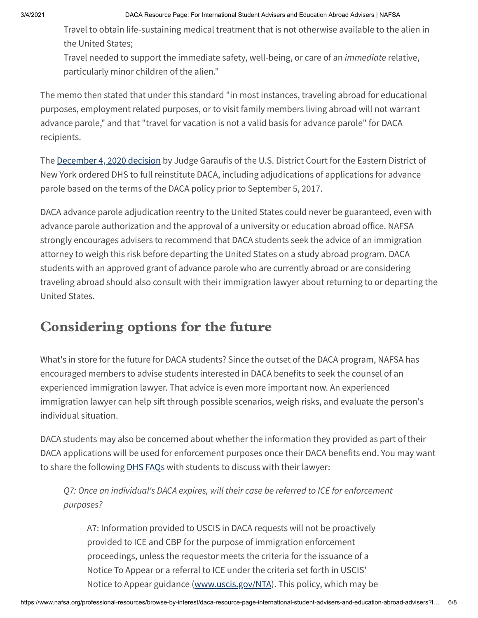Travel to obtain life-sustaining medical treatment that is not otherwise available to the alien in the United States;

Travel needed to support the immediate safety, well-being, or care of an *immediate* relative, particularly minor children of the alien."

The memo then stated that under this standard "in most instances, traveling abroad for educational purposes, employment related purposes, or to visit family members living abroad will not warrant advance parole," and that "travel for vacation is not a valid basis for advance parole" for DACA recipients.

The [December](https://www.pacermonitor.com/view/YJ4RBCQ/Batalla_Vidal_et_al_v_Nielsen_et_al__nyedce-16-04756__0354.0.pdf) 4, 2020 decision by Judge Garaufis of the U.S. District Court for the Eastern District of New York ordered DHS to full reinstitute DACA, including adjudications of applications for advance parole based on the terms of the DACA policy prior to September 5, 2017.

DACA advance parole adjudication reentry to the United States could never be guaranteed, even with advance parole authorization and the approval of a university or education abroad office. NAFSA strongly encourages advisers to recommend that DACA students seek the advice of an immigration attorney to weigh this risk before departing the United States on a study abroad program. DACA students with an approved grant of advance parole who are currently abroad or are considering traveling abroad should also consult with their immigration lawyer about returning to or departing the United States.

## Considering options for the future

What's in store for the future for DACA students? Since the outset of the DACA program, NAFSA has encouraged members to advise students interested in DACA benefits to seek the counsel of an experienced immigration lawyer. That advice is even more important now. An experienced immigration lawyer can help sift through possible scenarios, weigh risks, and evaluate the person's individual situation.

DACA students may also be concerned about whether the information they provided as part of their DACA applications will be used for enforcement purposes once their DACA benefits end. You may want to share the following **DHS [FAQs](https://www.dhs.gov/news/2017/09/05/frequently-asked-questions-rescission-deferred-action-childhood-arrivals-daca)** with students to discuss with their lawyer:

Q7: Once an individual's DACA expires, will their case be referred to ICE for enforcement purposes?

A7: Information provided to USCIS in DACA requests will not be proactively provided to ICE and CBP for the purpose of immigration enforcement proceedings, unless the requestor meets the criteria for the issuance of a Notice To Appear or a referral to ICE under the criteria set forth in USCIS' Notice to Appear guidance ([www.uscis.gov/NTA\)](http://www.uscis.gov/NTA). This policy, which may be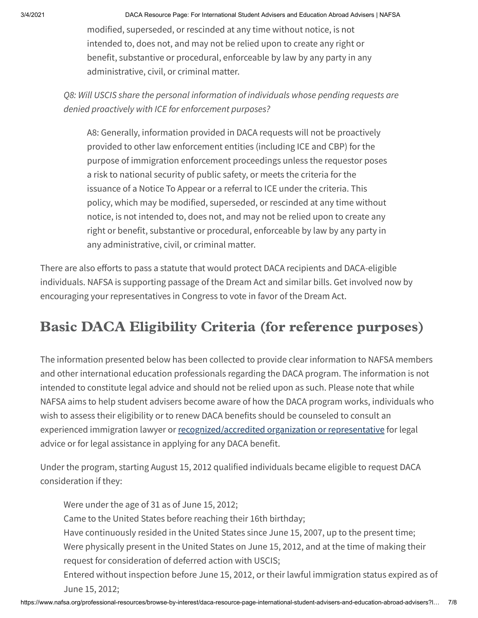modified, superseded, or rescinded at any time without notice, is not intended to, does not, and may not be relied upon to create any right or benefit, substantive or procedural, enforceable by law by any party in any administrative, civil, or criminal matter.

Q8: Will USCIS share the personal information of individuals whose pending requests are denied proactively with ICE for enforcement purposes?

A8: Generally, information provided in DACA requests will not be proactively provided to other law enforcement entities (including ICE and CBP) for the purpose of immigration enforcement proceedings unless the requestor poses a risk to national security of public safety, or meets the criteria for the issuance of a Notice To Appear or a referral to ICE under the criteria. This policy, which may be modified, superseded, or rescinded at any time without notice, is not intended to, does not, and may not be relied upon to create any right or benefit, substantive or procedural, enforceable by law by any party in any administrative, civil, or criminal matter.

There are also efforts to pass a statute that would protect DACA recipients and DACA-eligible individuals. NAFSA is supporting passage of the Dream Act and similar bills. Get involved now by encouraging your representatives in Congress to vote in favor of the Dream Act.

# Basic DACA Eligibility Criteria (for reference purposes)

The information presented below has been collected to provide clear information to NAFSA members and other international education professionals regarding the DACA program. The information is not intended to constitute legal advice and should not be relied upon as such. Please note that while NAFSA aims to help student advisers become aware of how the DACA program works, individuals who wish to assess their eligibility or to renew DACA benefits should be counseled to consult an experienced immigration lawyer or [recognized/accredited](http://www.justice.gov/eoir/ra/raroster.htm) organization or representative for legal advice or for legal assistance in applying for any DACA benefit.

Under the program, starting August 15, 2012 qualified individuals became eligible to request DACA consideration if they:

Were under the age of 31 as of June 15, 2012; Came to the United States before reaching their 16th birthday; Have continuously resided in the United States since June 15, 2007, up to the present time; Were physically present in the United States on June 15, 2012, and at the time of making their request for consideration of deferred action with USCIS; Entered without inspection before June 15, 2012, or their lawful immigration status expired as of June 15, 2012;